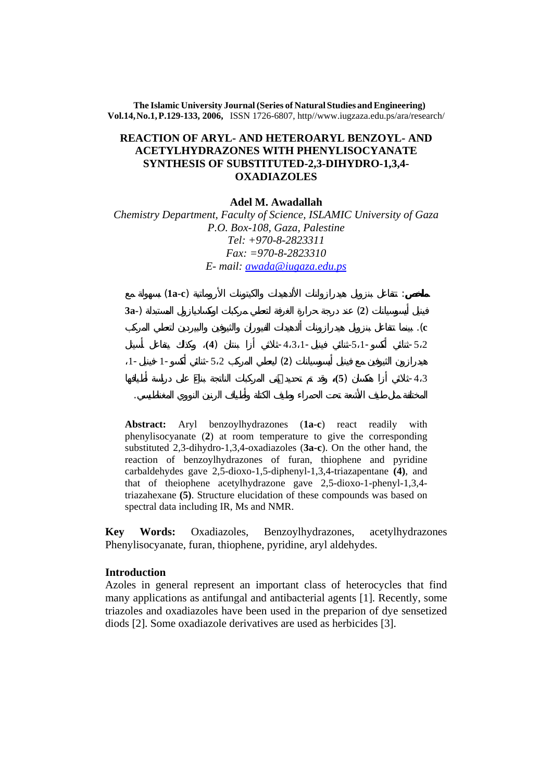**The Islamic University Journal (Series of Natural Studies andEngineering) Vol.14,No.1,P.129-133, 2006,** ISSN 1726-6807, http//www.iugzaza.edu.ps/ara/research/

## **REACTION OF ARYL- AND HETEROARYL BENZOYL- AND ACETYLHYDRAZONES WITH PHENYLISOCYANATE SYNTHESIS OF SUBSTITUTED-2,3-DIHYDRO-1,3,4- OXADIAZOLES**

**Adel M. Awadallah** 

*Chemistry Department, Faculty of Science, ISLAMIC University of Gaza P.O. Box-108, Gaza, Palestine Tel: +970-8-2823311 Fax: =970-8-2823310 E- mail: awada@iugaza.edu.ps* 



**Abstract:** Aryl benzoylhydrazones (**1a-c**) react readily with phenylisocyanate (**2**) at room temperature to give the corresponding substituted 2,3-dihydro-1,3,4-oxadiazoles (**3a-c**). On the other hand, the reaction of benzoylhydrazones of furan, thiophene and pyridine carbaldehydes gave 2,5-dioxo-1,5-diphenyl-1,3,4-triazapentane **(4)**, and that of theiophene acetylhydrazone gave 2,5-dioxo-1-phenyl-1,3,4 triazahexane **(5)**. Structure elucidation of these compounds was based on spectral data including IR, Ms and NMR.

**Key Words:** Oxadiazoles, Benzoylhydrazones, acetylhydrazones Phenylisocyanate, furan, thiophene, pyridine, aryl aldehydes.

## **Introduction**

Azoles in general represent an important class of heterocycles that find many applications as antifungal and antibacterial agents [1]. Recently, some triazoles and oxadiazoles have been used in the preparion of dye sensetized diods [2]. Some oxadiazole derivatives are used as herbicides [3].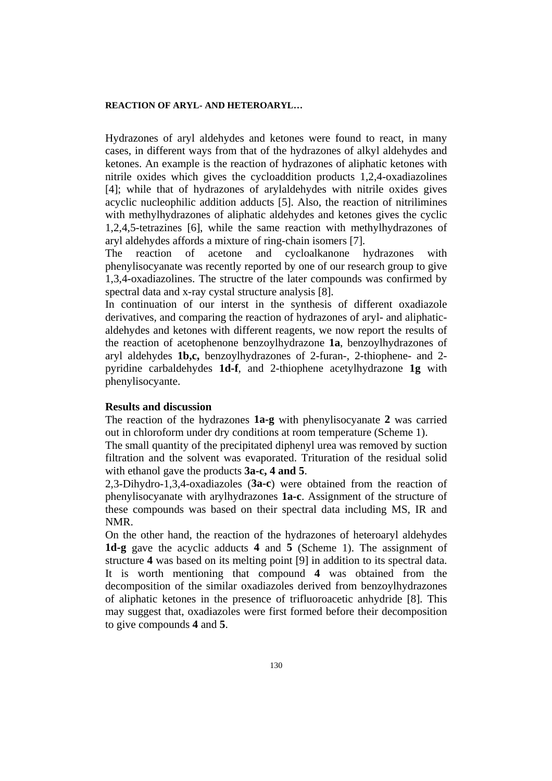#### **REACTION OF ARYL- AND HETEROARYL…**

Hydrazones of aryl aldehydes and ketones were found to react, in many cases, in different ways from that of the hydrazones of alkyl aldehydes and ketones. An example is the reaction of hydrazones of aliphatic ketones with nitrile oxides which gives the cycloaddition products 1,2,4-oxadiazolines [4]; while that of hydrazones of arylaldehydes with nitrile oxides gives acyclic nucleophilic addition adducts [5]. Also, the reaction of nitrilimines with methylhydrazones of aliphatic aldehydes and ketones gives the cyclic 1,2,4,5-tetrazines [6], while the same reaction with methylhydrazones of aryl aldehydes affords a mixture of ring-chain isomers [7].

The reaction of acetone and cycloalkanone hydrazones with phenylisocyanate was recently reported by one of our research group to give 1,3,4-oxadiazolines. The structre of the later compounds was confirmed by spectral data and x-ray cystal structure analysis [8].

In continuation of our interst in the synthesis of different oxadiazole derivatives, and comparing the reaction of hydrazones of aryl- and aliphaticaldehydes and ketones with different reagents, we now report the results of the reaction of acetophenone benzoylhydrazone **1a**, benzoylhydrazones of aryl aldehydes **1b,c,** benzoylhydrazones of 2-furan-, 2-thiophene- and 2 pyridine carbaldehydes **1d-f**, and 2-thiophene acetylhydrazone **1g** with phenylisocyante.

#### **Results and discussion**

The reaction of the hydrazones **1a-g** with phenylisocyanate **2** was carried out in chloroform under dry conditions at room temperature (Scheme 1).

The small quantity of the precipitated diphenyl urea was removed by suction filtration and the solvent was evaporated. Trituration of the residual solid with ethanol gave the products **3a-c, 4 and 5**.

2,3-Dihydro-1,3,4-oxadiazoles (**3a-c**) were obtained from the reaction of phenylisocyanate with arylhydrazones **1a-c**. Assignment of the structure of these compounds was based on their spectral data including MS, IR and NMR.

On the other hand, the reaction of the hydrazones of heteroaryl aldehydes **1d-g** gave the acyclic adducts **4** and **5** (Scheme 1). The assignment of structure **4** was based on its melting point [9] in addition to its spectral data. It is worth mentioning that compound **4** was obtained from the decomposition of the similar oxadiazoles derived from benzoylhydrazones of aliphatic ketones in the presence of trifluoroacetic anhydride [8]. This may suggest that, oxadiazoles were first formed before their decomposition to give compounds **4** and **5**.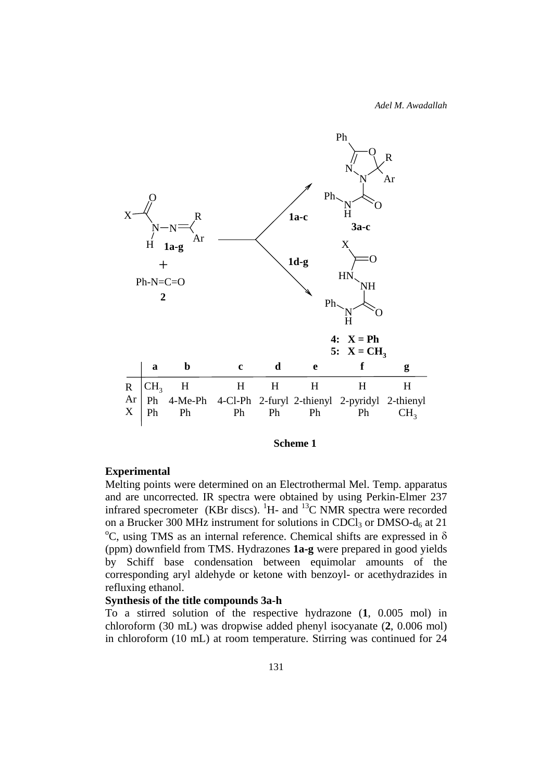*Adel M. Awadallah*



#### **Scheme 1**

## **Experimental**

Melting points were determined on an Electrothermal Mel. Temp. apparatus and are uncorrected. IR spectra were obtained by using Perkin-Elmer 237 infrared specrometer (KBr discs).  ${}^{1}$ H- and  ${}^{13}$ C NMR spectra were recorded on a Brucker 300 MHz instrument for solutions in CDCl<sub>3</sub> or DMSO- $d_6$  at 21  $\rm{^oC}$ , using TMS as an internal reference. Chemical shifts are expressed in  $\delta$ (ppm) downfield from TMS. Hydrazones **1a-g** were prepared in good yields by Schiff base condensation between equimolar amounts of the corresponding aryl aldehyde or ketone with benzoyl- or acethydrazides in refluxing ethanol.

### **Synthesis of the title compounds 3a-h**

To a stirred solution of the respective hydrazone (**1**, 0.005 mol) in chloroform (30 mL) was dropwise added phenyl isocyanate (**2**, 0.006 mol) in chloroform (10 mL) at room temperature. Stirring was continued for 24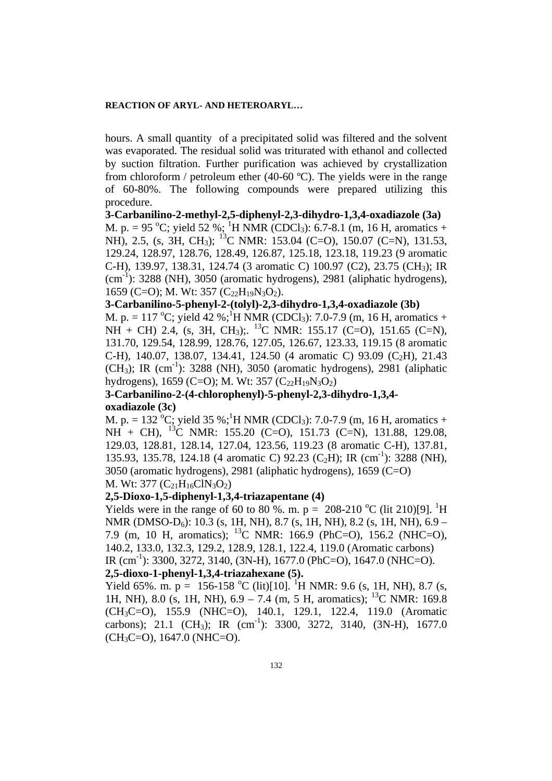#### **REACTION OF ARYL- AND HETEROARYL…**

hours. A small quantity of a precipitated solid was filtered and the solvent was evaporated. The residual solid was triturated with ethanol and collected by suction filtration. Further purification was achieved by crystallization from chloroform / petroleum ether (40-60 ºC). The yields were in the range of 60-80%. The following compounds were prepared utilizing this procedure.

**3-Carbanilino-2-methyl-2,5-diphenyl-2,3-dihydro-1,3,4-oxadiazole (3a)**  M. p. = 95 °C; yield 52 %; <sup>1</sup>H NMR (CDCl<sub>3</sub>): 6.7-8.1 (m, 16 H, aromatics + NH), 2.5, (s, 3H, CH<sub>3</sub>); <sup>13</sup>C NMR: 153.04 (C=O), 150.07 (C=N), 131.53, 129.24, 128.97, 128.76, 128.49, 126.87, 125.18, 123.18, 119.23 (9 aromatic C-H), 139.97, 138.31, 124.74 (3 aromatic C) 100.97 (C2), 23.75 (CH3); IR  $(cm^{-1})$ : 3288 (NH), 3050 (aromatic hydrogens), 2981 (aliphatic hydrogens), 1659 (C=O); M. Wt: 357 (C<sub>22</sub>H<sub>19</sub>N<sub>3</sub>O<sub>2</sub>).

# **3-Carbanilino-5-phenyl-2-(tolyl)-2,3-dihydro-1,3,4-oxadiazole (3b)**

M. p. = 117 °C; yield 42 %;<sup>1</sup>H NMR (CDCl<sub>3</sub>): 7.0-7.9 (m, 16 H, aromatics +  $NH + CH$ ) 2.4, (s, 3H, CH<sub>3</sub>);. <sup>13</sup>C NMR: 155.17 (C=O), 151.65 (C=N), 131.70, 129.54, 128.99, 128.76, 127.05, 126.67, 123.33, 119.15 (8 aromatic C-H), 140.07, 138.07, 134.41, 124.50 (4 aromatic C) 93.09 (C<sub>2</sub>H), 21.43  $(CH<sub>3</sub>)$ ; IR (cm<sup>-1</sup>): 3288 (NH), 3050 (aromatic hydrogens), 2981 (aliphatic hydrogens), 1659 (C=O); M. Wt: 357 (C<sub>22</sub>H<sub>19</sub>N<sub>3</sub>O<sub>2</sub>)

# **3-Carbanilino-2-(4-chlorophenyl)-5-phenyl-2,3-dihydro-1,3,4 oxadiazole (3c)**

M. p. = 132 <sup>o</sup>C; yield 35 %;<sup>1</sup>H NMR (CDCl<sub>3</sub>): 7.0-7.9 (m, 16 H, aromatics +  $NH + CH$ ), <sup>13</sup>C NMR: 155.20 (C=O), 151.73 (C=N), 131.88, 129.08, 129.03, 128.81, 128.14, 127.04, 123.56, 119.23 (8 aromatic C-H), 137.81, 135.93, 135.78, 124.18 (4 aromatic C) 92.23 (C<sub>2</sub>H); IR (cm<sup>-1</sup>): 3288 (NH), 3050 (aromatic hydrogens), 2981 (aliphatic hydrogens), 1659 (C=O) M. Wt:  $377 \left( C_{21} H_{16} C_{18} O_2 \right)$ 

#### **2,5-Dioxo-1,5-diphenyl-1,3,4-triazapentane (4)**

Yields were in the range of 60 to 80 %. m. p = 208-210 °C (lit 210)[9]. <sup>1</sup>H NMR (DMSO- $D_6$ ): 10.3 (s, 1H, NH), 8.7 (s, 1H, NH), 8.2 (s, 1H, NH), 6.9 – 7.9 (m, 10 H, aromatics); 13C NMR: 166.9 (PhC=O), 156.2 (NHC=O), 140.2, 133.0, 132.3, 129.2, 128.9, 128.1, 122.4, 119.0 (Aromatic carbons) IR (cm<sup>-1</sup>): 3300, 3272, 3140, (3N-H), 1677.0 (PhC=O), 1647.0 (NHC=O). **2,5-dioxo-1-phenyl-1,3,4-triazahexane (5).** 

Yield 65%. m. p = 156-158 °C (lit)[10]. <sup>1</sup>H NMR: 9.6 (s, 1H, NH), 8.7 (s, 1H, NH), 8.0 (s, 1H, NH), 6.9 – 7.4 (m, 5 H, aromatics); <sup>13</sup>C NMR: 169.8 (CH3C=O), 155.9 (NHC=O), 140.1, 129.1, 122.4, 119.0 (Aromatic carbons); 21.1 (CH<sub>3</sub>); IR (cm<sup>-1</sup>): 3300, 3272, 3140, (3N-H), 1677.0  $(CH<sub>3</sub>C=O), 1647.0$  (NHC=O).